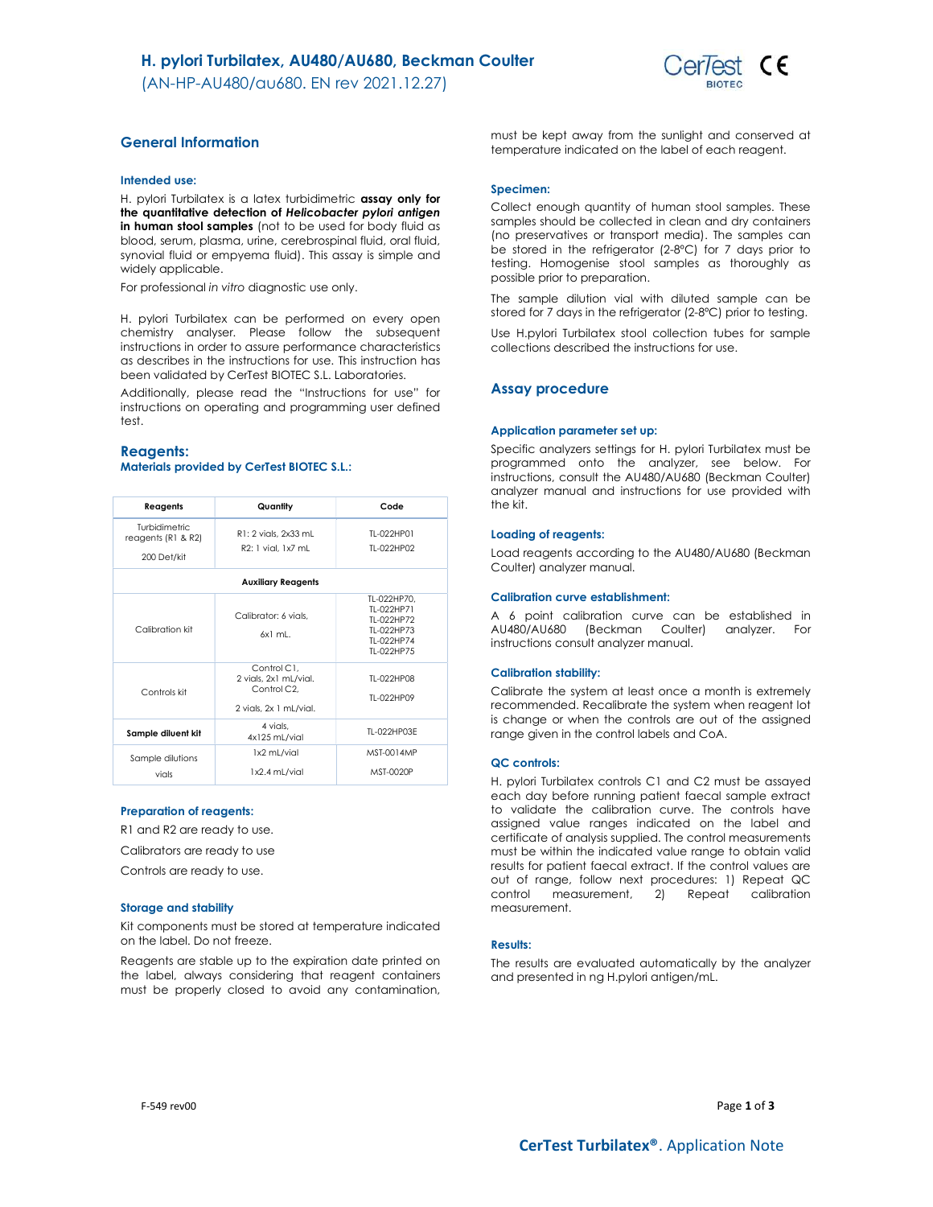(AN-HP-AU480/au680. EN rev 2021.12.27)



# General Information

#### Intended use:

H. pvlori Turbilatex is a latex turbidimetric assay only for the quantitative detection of Helicobacter pylori antigen in human stool samples (not to be used for body fluid as blood, serum, plasma, urine, cerebrospinal fluid, oral fluid, synovial fluid or empyema fluid). This assay is simple and widely applicable.

For professional in vitro diagnostic use only.

H. pylori Turbilatex can be performed on every open chemistry analyser. Please follow the subsequent instructions in order to assure performance characteristics as describes in the instructions for use. This instruction has been validated by CerTest BIOTEC S.L. Laboratories.

Additionally, please read the "Instructions for use" for instructions on operating and programming user defined test.

## Reagents: Materials provided by CerTest BIOTEC S.L.:

| Reagents                                           | Quantity                                                                      | Code                                                                              |  |  |
|----------------------------------------------------|-------------------------------------------------------------------------------|-----------------------------------------------------------------------------------|--|--|
| Turbidimetric<br>reagents (R1 & R2)<br>200 Det/kit | R1: 2 vials, 2x33 mL<br>R2: 1 vial, 1x7 mL                                    | TI-022HP01<br>TI-022HP02                                                          |  |  |
| <b>Auxiliary Reagents</b>                          |                                                                               |                                                                                   |  |  |
| Calibration kit                                    | Calibrator: 6 vials.<br>$6x1$ ml.                                             | TL-022HP70.<br>TI-022HP71<br>TI-022HP72<br>TI-022HP73<br>TI-022HP74<br>TI-022HP75 |  |  |
| Controls kit                                       | Control C1.<br>2 vials, 2x1 mL/vial.<br>Control C2.<br>2 vials, 2x 1 mL/vial. | TI-022HP08<br>TI-022HP09                                                          |  |  |
| Sample diluent kit                                 | 4 vials,<br>4x125 mL/vial                                                     | TI-022HP03F                                                                       |  |  |
| Sample dilutions<br>vials                          | 1x2 mL/vial<br>1x2.4 mL/vial                                                  | MST-0014MP<br>MST-0020P                                                           |  |  |

## Preparation of reagents:

R1 and R2 are ready to use.

Calibrators are ready to use

Controls are ready to use.

#### Storage and stability

Kit components must be stored at temperature indicated on the label. Do not freeze.

Reagents are stable up to the expiration date printed on the label, always considering that reagent containers must be properly closed to avoid any contamination,

must be kept away from the sunlight and conserved at temperature indicated on the label of each reagent.

#### Specimen:

Collect enough quantity of human stool samples. These samples should be collected in clean and dry containers (no preservatives or transport media). The samples can be stored in the refrigerator (2-8ºC) for 7 days prior to testing. Homogenise stool samples as thoroughly as possible prior to preparation.

The sample dilution vial with diluted sample can be stored for 7 days in the refrigerator (2-8ºC) prior to testing.

Use H.pylori Turbilatex stool collection tubes for sample collections described the instructions for use.

## Assay procedure

## Application parameter set up:

Specific analyzers settings for H. pylori Turbilatex must be programmed onto the analyzer, see below. For instructions, consult the AU480/AU680 (Beckman Coulter) analyzer manual and instructions for use provided with the kit.

## Loading of reagents:

Load reagents according to the AU480/AU680 (Beckman Coulter) analyzer manual.

#### Calibration curve establishment:

A 6 point calibration curve can be established in AU480/AU680 (Beckman Coulter) analyzer. For instructions consult analyzer manual.

## Calibration stability:

Calibrate the system at least once a month is extremely recommended. Recalibrate the system when reagent lot is change or when the controls are out of the assigned range given in the control labels and CoA.

#### QC controls:

H. pylori Turbilatex controls C1 and C2 must be assayed each day before running patient faecal sample extract to validate the calibration curve. The controls have assigned value ranges indicated on the label and certificate of analysis supplied. The control measurements must be within the indicated value range to obtain valid results for patient faecal extract. If the control values are out of range, follow next procedures: 1) Repeat QC control measurement, 2) Repeat calibration measurement.

#### Results:

The results are evaluated automatically by the analyzer and presented in ng H.pylori antigen/mL.

F-549 rev00  $Page 1 of 3$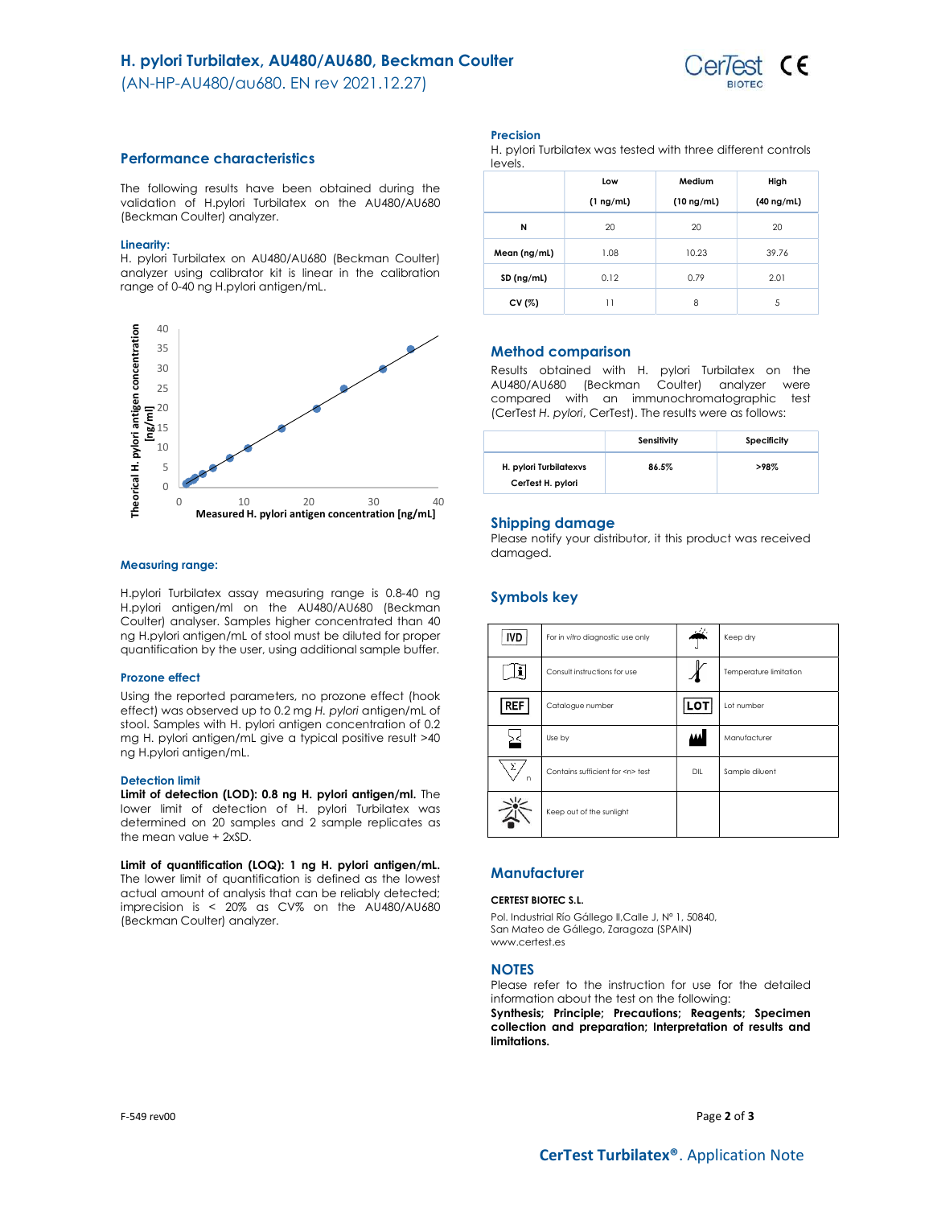## H. pylori Turbilatex, AU480/AU680, Beckman Coulter

(AN-HP-AU480/au680. EN rev 2021.12.27)



## Performance characteristics

The following results have been obtained during the validation of H.pylori Turbilatex on the AU480/AU680 (Beckman Coulter) analyzer.

## Linearity:

H. pylori Turbilatex on AU480/AU680 (Beckman Coulter) analyzer using calibrator kit is linear in the calibration range of 0-40 ng H.pylori antigen/mL.



## Measuring range:

H.pylori Turbilatex assay measuring range is 0.8-40 ng H.pylori antigen/ml on the AU480/AU680 (Beckman Coulter) analyser. Samples higher concentrated than 40 ng H.pylori antigen/mL of stool must be diluted for proper quantification by the user, using additional sample buffer.

#### Prozone effect

Using the reported parameters, no prozone effect (hook effect) was observed up to 0.2 mg H. pylori antigen/mL of stool. Samples with H. pylori antigen concentration of 0.2 mg H. pylori antigen/mL give a typical positive result >40 ng H.pylori antigen/mL.

#### Detection limit

Limit of detection (LOD): 0.8 ng H. pylori antigen/ml. The lower limit of detection of H. pylori Turbilatex was determined on 20 samples and 2 sample replicates as the mean value + 2xSD.

Limit of quantification (LOQ): 1 ng H. pylori antigen/mL. The lower limit of quantification is defined as the lowest actual amount of analysis that can be reliably detected; imprecision is < 20% as CV% on the AU480/AU680 (Beckman Coulter) analyzer.

Precision

H. pylori Turbilatex was tested with three different controls levels.

|              | Low            | Medium          | High            |
|--------------|----------------|-----------------|-----------------|
|              | $(1 \nmid mL)$ | $(10 \nmid mL)$ | $(40 \nmid mL)$ |
| N            | 20             | 20              | 20              |
| Mean (ng/ml) | 1.08           | 10.23           | 39.76           |
| SD (ng/ml)   | 0.12           | 0.79            | 2.01            |
| CV (%)       | 11             | 8               | 5               |

## Method comparison

Results obtained with H. pylori Turbilatex on the AU480/AU680 (Beckman Coulter) analyzer were compared with an immunochromatographic test (CerTest H. pylori, CerTest). The results were as follows:

|                                             | Sensitivity | Specificity |
|---------------------------------------------|-------------|-------------|
| H. pylori Turbilatexys<br>CerTest H. pylori | 86.5%       | >98%        |

## Shipping damage

Please notify your distributor, it this product was received damaged.

# Symbols key

| <b>IVD</b>    | For in vitro diagnostic use only     |      | Keep dry               |
|---------------|--------------------------------------|------|------------------------|
| ļi            | Consult instructions for use         |      | Temperature limitation |
| <b>REF</b>    | Catalogue number                     | LOT  | Lot number             |
|               | Use by                               | لفقة | Manufacturer           |
| $\Sigma$<br>n | Contains sufficient for <n> test</n> | DIL  | Sample diluent         |
|               | Keep out of the sunlight             |      |                        |

# **Manufacturer**

## CERTEST BIOTEC S.L.

Pol. Industrial Río Gállego II,Calle J, Nº 1, 50840, San Mateo de Gállego, Zaragoza (SPAIN) www.certest.es

## **NOTES**

Please refer to the instruction for use for the detailed information about the test on the following: Synthesis; Principle; Precautions; Reagents; Specimen collection and preparation; Interpretation of results and limitations.